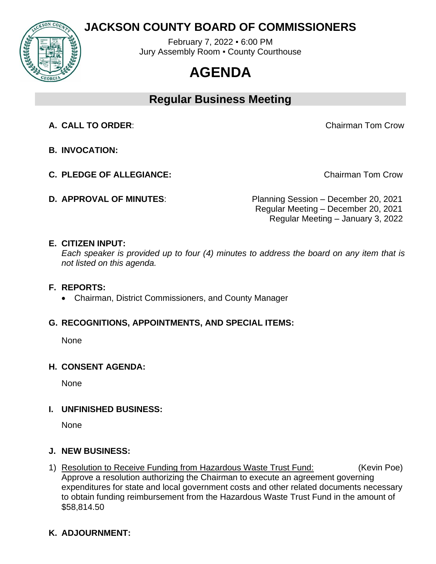# **JACKSON COUNTY BOARD OF COMMISSIONERS**



February 7, 2022 ▪ 6:00 PM Jury Assembly Room ▪ County Courthouse

# **AGENDA**

# **Regular Business Meeting**

**A. CALL TO ORDER**: Chairman Tom Crow

- **B. INVOCATION:**
- **C. PLEDGE OF ALLEGIANCE:** The contract of the chairman Tom Crow
- 

**D. APPROVAL OF MINUTES**: Planning Session – December 20, 2021 Regular Meeting – December 20, 2021 Regular Meeting – January 3, 2022

#### **E. CITIZEN INPUT:**

*Each speaker is provided up to four (4) minutes to address the board on any item that is not listed on this agenda.* 

#### **F. REPORTS:**

• Chairman, District Commissioners, and County Manager

## **G. RECOGNITIONS, APPOINTMENTS, AND SPECIAL ITEMS:**

**None** 

## **H. CONSENT AGENDA:**

None

## **I. UNFINISHED BUSINESS:**

None

## **J. NEW BUSINESS:**

1) Resolution to Receive Funding from Hazardous Waste Trust Fund: (Kevin Poe) Approve a resolution authorizing the Chairman to execute an agreement governing expenditures for state and local government costs and other related documents necessary to obtain funding reimbursement from the Hazardous Waste Trust Fund in the amount of \$58,814.50

## **K. ADJOURNMENT:**